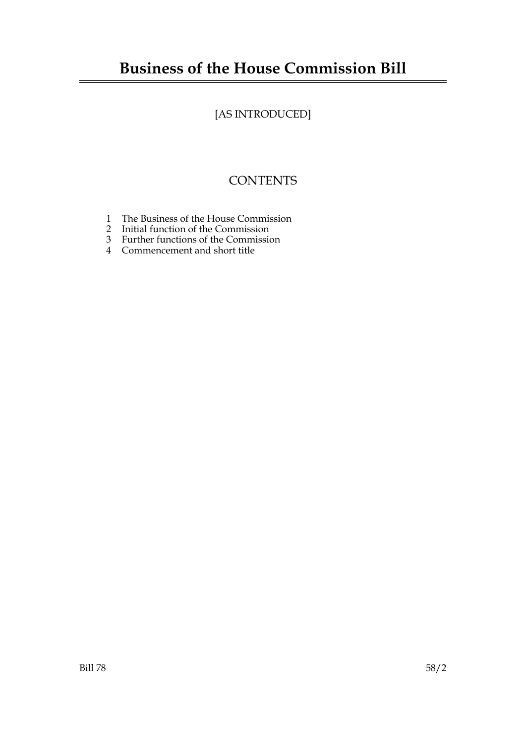# **Business of the House Commission Bill**

# [AS INTRODUCED]

# **CONTENTS**

- 1 The Business of the House Commission
- 2 Initial function of the Commission
- 3 Further functions of the Commission
- 4 Commencement and short title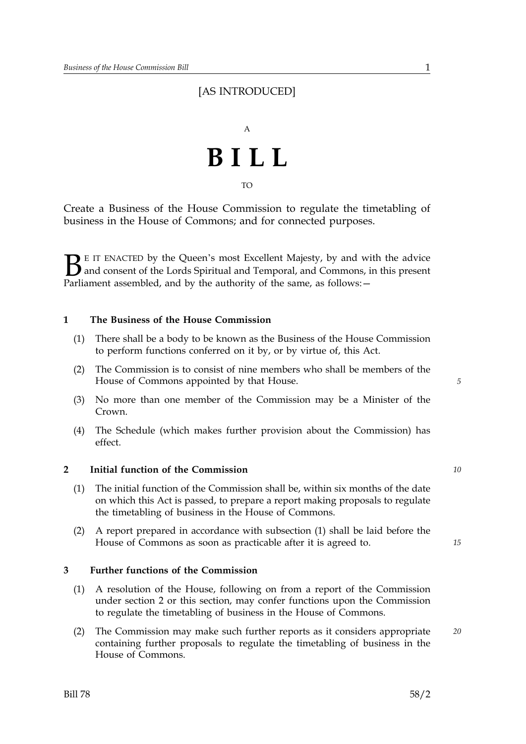### [AS INTRODUCED]



TO

Create a Business of the House Commission to regulate the timetabling of business in the House of Commons; and for connected purposes.

 $\sum$  E IT ENACTED by the Queen's most Excellent Majesty, by and with the advice<br>and consent of the Lords Spiritual and Temporal, and Commons, in this present<br>Parliament assembled, and by the authority of the same as follo and consent of the Lords Spiritual and Temporal, and Commons, in this present Parliament assembled, and by the authority of the same, as follows: -

#### **1 The Business of the House Commission**

- (1) There shall be a body to be known as the Business of the House Commission to perform functions conferred on it by, or by virtue of, this Act.
- (2) The Commission is to consist of nine members who shall be members of the House of Commons appointed by that House.
- (3) No more than one member of the Commission may be a Minister of the Crown.
- (4) The Schedule (which makes further provision about the Commission) has effect.

#### **2 Initial function of the Commission** *10*

- (1) The initial function of the Commission shall be, within six months of the date on which this Act is passed, to prepare a report making proposals to regulate the timetabling of business in the House of Commons.
- (2) A report prepared in accordance with subsection (1) shall be laid before the House of Commons as soon as practicable after it is agreed to.

#### **3 Further functions of the Commission**

- (1) A resolution of the House, following on from a report of the Commission under section 2 or this section, may confer functions upon the Commission to regulate the timetabling of business in the House of Commons.
- (2) The Commission may make such further reports as it considers appropriate *20* containing further proposals to regulate the timetabling of business in the House of Commons.

*5*

*15*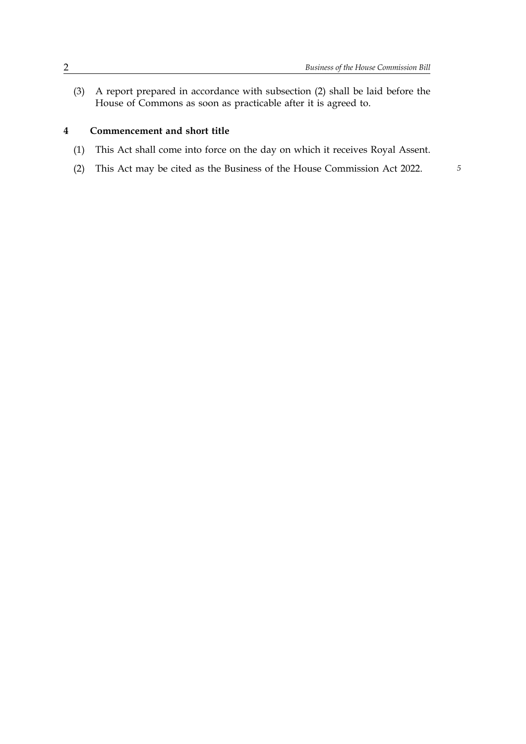(3) A report prepared in accordance with subsection (2) shall be laid before the House of Commons as soon as practicable after it is agreed to.

#### **4 Commencement and short title**

- (1) This Act shall come into force on the day on which it receives Royal Assent.
- (2) This Act may be cited as the Business of the House Commission Act 2022. *5*